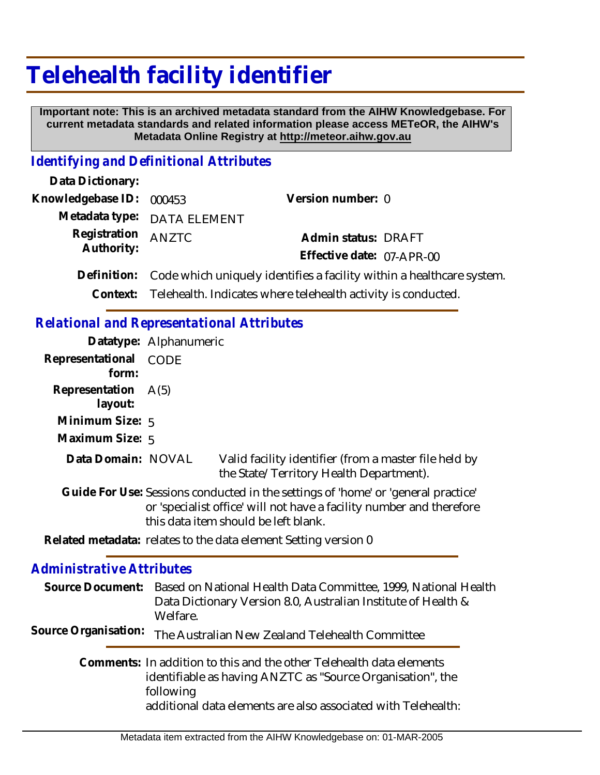## **Telehealth facility identifier**

 **Important note: This is an archived metadata standard from the AIHW Knowledgebase. For current metadata standards and related information please access METeOR, the AIHW's Metadata Online Registry at http://meteor.aihw.gov.au**

## *Identifying and Definitional Attributes*

| Data Dictionary:         |                                                                        |                           |  |
|--------------------------|------------------------------------------------------------------------|---------------------------|--|
| Knowledgebase ID: 000453 |                                                                        | Version number: 0         |  |
|                          | Metadata type: DATA ELEMENT                                            |                           |  |
| Registration             | <b>ANZTC</b>                                                           | Admin status: DRAFT       |  |
| Authority:               |                                                                        | Effective date: 07-APR-00 |  |
| Definition:              | Code which uniquely identifies a facility within a healthcare system.  |                           |  |
|                          | Context: Telehealth. Indicates where telehealth activity is conducted. |                           |  |

## *Relational and Representational Attributes*

|                                | Datatype: Alphanumeric |                                                                                                                                                                                                   |
|--------------------------------|------------------------|---------------------------------------------------------------------------------------------------------------------------------------------------------------------------------------------------|
| Representational<br>form:      | <b>CODE</b>            |                                                                                                                                                                                                   |
| Representation A(5)<br>layout: |                        |                                                                                                                                                                                                   |
| Minimum Size: 5                |                        |                                                                                                                                                                                                   |
| Maximum Size: 5                |                        |                                                                                                                                                                                                   |
| Data Domain: NOVAL             |                        | Valid facility identifier (from a master file held by<br>the State/Territory Health Department).                                                                                                  |
|                                |                        | Guide For Use: Sessions conducted in the settings of 'home' or 'general practice'<br>or 'specialist office' will not have a facility number and therefore<br>this data item should be left blank. |
|                                |                        | Related metadata: relates to the data element Setting version 0                                                                                                                                   |

## *Administrative Attributes*

|                      | Source Document: Based on National Health Data Committee, 1999, National Health<br>Data Dictionary Version 8.0, Australian Institute of Health &<br>Welfare.                                                     |
|----------------------|------------------------------------------------------------------------------------------------------------------------------------------------------------------------------------------------------------------|
| Source Organisation: | The Australian New Zealand Telehealth Committee                                                                                                                                                                  |
|                      | Comments: In addition to this and the other Telehealth data elements<br>identifiable as having ANZTC as "Source Organisation", the<br>following<br>additional data elements are also associated with Telehealth: |